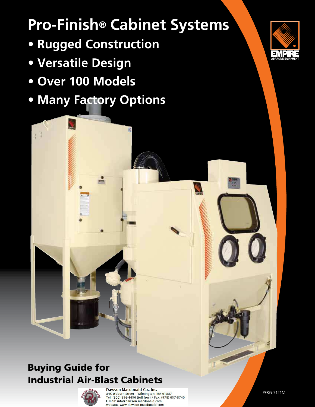# **Pro-Finish® Cabinet Systems**

- **Rugged Construction**
- **Versatile Design**
- **Over 100 Models**
- **Many Factory Options**



## Buying Guide for Industrial Air-Blast Cabinets



Dawson-Macdonald Co., Inc. 845 Woburn Street - Wilmington, MA 01887 Tel: (800) 556-4456 (toll free) / Fax: (978) 657-8740 E-mail: info@dawson-macdonald.com Website: www.dawson-macdonald.com

PFBG-7121M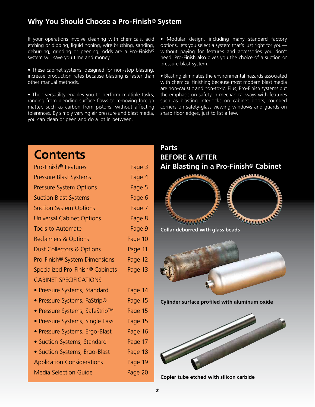### **Why You Should Choose a Pro-Finish® System**

If your operations involve cleaning with chemicals, acid etching or dipping, liquid honing, wire brushing, sanding, deburring, grinding or peening, odds are a Pro-Finish® system will save you time and money.

• These cabinet systems, designed for non-stop blasting, increase production rates because blasting is faster than other manual methods.

• Their versatility enables you to perform multiple tasks, ranging from blending surface flaws to removing foreign matter, such as carbon from pistons, without affecting tolerances. By simply varying air pressure and blast media, you can clean or peen and do a lot in between.

• Modular design, including many standard factory options, lets you select a system that's just right for you without paying for features and accessories you don't need. Pro-Finish also gives you the choice of a suction or pressure blast system.

• Blasting eliminates the environmental hazards associated with chemical finishing because most modern blast media are non-caustic and non-toxic. Plus, Pro-Finish systems put the emphasis on safety in mechanical ways with features such as blasting interlocks on cabinet doors, rounded corners on safety-glass viewing windows and guards on sharp floor edges, just to list a few.

### **Contents** Pro-Finish<sup>®</sup> Features Page 3 Pressure Blast Systems **Page 4** Pressure System Options **Page 5** Suction Blast Systems **Page 6** Suction System Options **Page 7** Universal Cabinet Options **Page 8** Tools to Automate **Page 9** Reclaimers & Options **Page 10** Dust Collectors & Options Page 11 Pro-Finish® System Dimensions Page 12 Specialized Pro-Finish<sup>®</sup> Cabinets Page 13 CABINET SPECIFICATIONS • Pressure Systems, Standard Page 14 • Pressure Systems, FaStrip® Page 15 • Pressure Systems, SafeStrip™ Page 15 • Pressure Systems, Single Pass Page 15 • Pressure Systems, Ergo-Blast Page 16 • Suction Systems, Standard Page 17 • Suction Systems, Ergo-Blast Page 18 Application Considerations Page 19 Media Selection Guide **Page 20**

### **Parts BEFORE & AFTER Air Blasting in a Pro-Finish® Cabinet**





**Cylinder surface profiled with aluminum oxide**



**Copier tube etched with silicon carbide**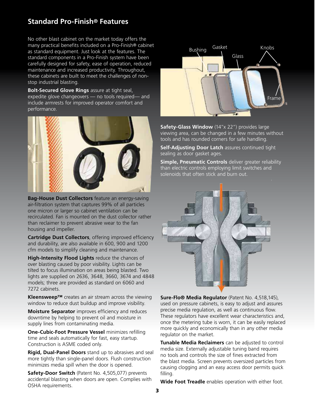### **Standard Pro-Finish® Features**

No other blast cabinet on the market today offers the many practical benefits included on a Pro-Finish® cabinet as standard equipment. Just look at the features. The standard components in a Pro-Finish system have been carefully designed for safety, ease of operation, reduced maintenance and increased productivity. Throughout, these cabinets are built to meet the challenges of nonstop industrial blasting.

**Bolt-Secured Glove Rings** assure at tight seal, expedite glove changeovers — no tools required— and include armrests for improved operator comfort and performance.



**Bag-House Dust Collectors** feature an energy-saving air-filtration system that captures 99% of all particles one micron or larger so cabinet ventilation can be recirculated. Fan is mounted on the dust collector rather than reclaimer to prevent abrasive wear to the fan housing and impeller.

**Cartridge Dust Collectors**, offering improved efficiency and durability, are also available in 600, 900 and 1200 cfm models to simplify cleaning and maintenance.

**High-Intensity Flood Lights** reduce the chances of over blasting caused by poor visibility. Lights can be tilted to focus illumination on areas being blasted. Two lights are supplied on 2636, 3648, 3660, 3674 and 4848 models; three are provided as standard on 6060 and 7272 cabinets.

**Kleensweep™** creates an air stream across the viewing window to reduce dust buildup and improve visibility.

**Moisture Separator** improves efficiency and reduces downtime by helping to prevent oil and moisture in supply lines from contaminating media.

**One-Cubic-Foot Pressure Vessel** minimizes refilling time and seals automatically for fast, easy startup. Construction is ASME coded only.

**Rigid, Dual-Panel Doors** stand up to abrasives and seal more tightly than single-panel doors. Flush construction minimizes media spill when the door is opened.

**Safety-Door Switch** (Patent No. 4,505,077) prevents accidental blasting when doors are open. Complies with OSHA requirements.



**Safety-Glass Window** (14"x 22") provides large viewing area, can be changed in a few minutes without tools and has rounded corners for safe handling.

**Self-Adjusting Door Latch** assures continued tight sealing as door gasket ages.

**Simple, Pneumatic Controls** deliver greater reliability than electric controls employing limit switches and solenoids that often stick and burn out.



**Sure-Flo® Media Regulator** (Patent No. 4,518,145), used on pressure cabinets, is easy to adjust and assures precise media regulation, as well as continuous flow. These regulators have excellent wear characteristics and, once the metering tube is worn, it can be easily replaced more quickly and economically than in any other media regulator on the market.

**Tunable Media Reclaimers** can be adjusted to control media size. Externally adjustable tuning band requires no tools and controls the size of fines extracted from the blast media. Screen prevents oversized particles from causing clogging and an easy access door permits quick filling.

**Wide Foot Treadle** enables operation with either foot.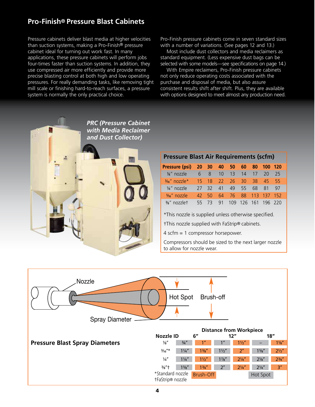### **Pro-Finish® Pressure Blast Cabinets**

Pressure cabinets deliver blast media at higher velocities than suction systems, making a Pro-Finish® pressure cabinet ideal for turning out work fast. In many applications, these pressure cabinets will perform jobs four-times faster than suction systems. In addition, they use compressed air more efficiently and provide more precise blasting control at both high and low operating pressures. For really demanding tasks, like removing tight mill scale or finishing hard-to-reach surfaces, a pressure system is normally the only practical choice.

Pro-Finish pressure cabinets come in seven standard sizes with a number of variations. (See pages 12 and 13.)

 Most include dust collectors and media reclaimers as standard equipment. (Less expensive dust bags can be selected with some models—see specifications on page 14.)

 With Empire reclaimers, Pro-Finish pressure cabinets not only reduce operating costs associated with the purchase and disposal of media, but also assure consistent results shift after shift. Plus, they are available with options designed to meet almost any production need.



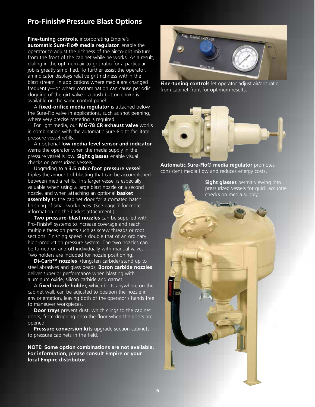### **Pro-Finish® Pressure Blast Options**

**Fine-tuning controls**, incorporating Empire's **automatic Sure-Flo® media regulator**, enable the operator to adjust the richness of the air-to-grit mixture from the front of the cabinet while he works. As a result, dialing in the optimum air-to-grit ratio for a particular job is greatly simplified. To further assist the operator, an indicator displays relative grit richness within the blast stream. In applications where media are changed frequently—or where contamination can cause periodic clogging of the girt valve—a push-button choke is available on the same control panel.

 A **fixed-orifice media regulator** is attached below the Sure-Flo valve in applications, such as shot peening, where very precise metering is required.

 For light media, our **MG-78 CR exhaust valve** works in combination with the automatic Sure-Flo to facilitate pressure vessel refills.

 An optional **low media-level sensor and indicator** warns the operator when the media supply in the pressure vessel is low. **Sight glasses** enable visual checks on pressurized vessels.

 Upgrading to a **3.5 cubic-foot pressure vessel** triples the amount of blasting that can be accomplished between media refills. This larger vessel is especially valuable when using a large blast nozzle or a second nozzle, and when attaching an optional **basket assembly** to the cabinet door for automated batch finishing of small workpieces. (See page 7 for more information on the basket attachment.)

 **Two pressure-blast nozzles** can be supplied with Pro-Finish® systems to increase coverage and reach multiple faces on parts such as screw threads or root sections. Finishing speed is double that of an ordinary high-production pressure system. The two nozzles can be turned on and off individually with manual valves. Two holders are included for nozzle positioning.

**Di-Carb™ nozzles** (tungsten carbide) stand up to steel abrasives and glass beads; **Boron carbide nozzles** deliver superior performance when blasting with aluminum oxide, silicon carbide and garnet.

 A **fixed-nozzle holder**, which bolts anywhere on the cabinet wall, can be adjusted to position the nozzle in any orientation, leaving both of the operator's hands free to maneuver workpieces.

**Door trays** prevent dust, which clings to the cabinet doors, from dropping onto the floor when the doors are opened.

**Pressure conversion kits** upgrade suction cabinets to pressure cabinets in the field.

**NOTE: Some option combinations are not available. For information, please consult Empire or your local Empire distributor.**



**Fine-tuning controls** let operator adjust air/grit ratio from cabinet front for optimum results.



**Automatic Sure-Flo® media regulator** promotes consistent media flow and reduces energy costs.

> **Sight glasses** permit viewing into pressurized vessels for quick accurate checks on media supply.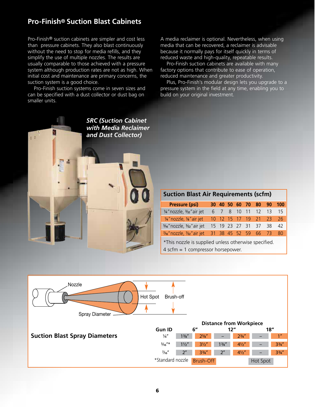### **Pro-Finish® Suction Blast Cabinets**

Pro-Finish® suction cabinets are simpler and cost less than pressure cabinets. They also blast continuously without the need to stop for media refills, and they simplify the use of multiple nozzles. The results are usually comparable to those achieved with a pressure system although production rates are not as high. When initial cost and maintenance are primary concerns, the suction system is a good choice.

 Pro-Finish suction systems come in seven sizes and can be specified with a dust collector or dust bag on smaller units.

A media reclaimer is optional. Nevertheless, when using media that can be recovered, a reclaimer is advisable because it normally pays for itself quickly in terms of reduced waste and high-quality, repeatable results.

 Pro-Finish suction cabinets are available with many factory options that contribute to ease of operation, reduced maintenance and greater productivity.

 Plus, Pro-Finish's modular design lets you upgrade to a pressure system in the field at any time, enabling you to build on your original investment.



| <b>Pressure (psi)</b>                       |  |  |                         | 30 40 50 60 70 80 90 100 |
|---------------------------------------------|--|--|-------------------------|--------------------------|
| 1/4" nozzle, 3/32" air jet                  |  |  | 6 7 8 10 11 12 13       |                          |
| 1/4" nozzle, 1/8" air jet                   |  |  |                         | 10 12 15 17 19 21 23 26  |
| 5/16" nozzle, 5/32" air jet                 |  |  | 15 19 23 27 31 37 38 42 |                          |
| %" nozzle, %2" air jet 31 38 45 52 59 66 73 |  |  |                         |                          |

 \*This nozzle is supplied unless otherwise specified. 4 scfm = 1 compressor horsepower.

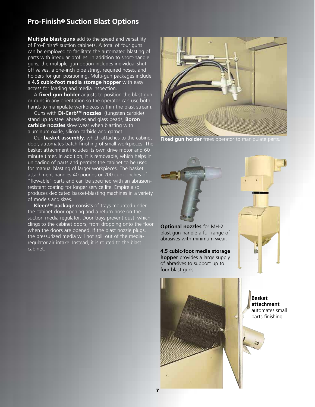### **Pro-Finish® Suction Blast Options**

**Multiple blast guns** add to the speed and versatility of Pro-Finish® suction cabinets. A total of four guns can be employed to facilitate the automated blasting of parts with irregular profiles. In addition to short-handle guns, the multiple-gun option includes individual shutoff valves, a one-inch pipe string, required hoses, and holders for gun positioning. Multi-gun packages include a **4.5 cubic-foot media storage hopper** with easy access for loading and media inspection.

A **fixed gun holder** adjusts to position the blast gun or guns in any orientation so the operator can use both hands to manipulate workpieces within the blast stream.

 Guns with **Di-Carb™ nozzles** (tungsten carbide) stand up to steel abrasives and glass beads; **Boron carbide nozzles** slow wear when blasting with aluminum oxide, silicon carbide and garnet.

Our **basket assembly**, which attaches to the cabinet door, automates batch finishing of small workpieces. The basket attachment includes its own drive motor and 60 minute timer. In addition, it is removable, which helps in unloading of parts and permits the cabinet to be used for manual blasting of larger workpieces. The basket attachment handles 40 pounds or 200 cubic inches of "flowable" parts and can be specified with an abrasionresistant coating for longer service life. Empire also produces dedicated basket-blasting machines in a variety of models and sizes.

 **Kleen™ package** consists of trays mounted under the cabinet-door opening and a return hose on the suction media regulator. Door trays prevent dust, which clings to the cabinet doors, from dropping onto the floor when the doors are opened. If the blast nozzle plugs, the pressurized media will not spill out of the mediaregulator air intake. Instead, it is routed to the blast cabinet.



**Fixed gun holder** frees operator to manipulate parts.





**4.5 cubic-foot media storage hopper** provides a large supply of abrasives to support up to four blast guns.



**Basket attachment** automates small parts finishing.

抽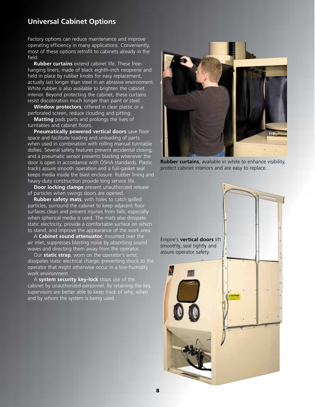### **Universal Cabinet Options**

Factory options can reduce maintenance and improve operating efficiency in many applications. Conveniently, most of these options retrofit to cabinets already in the field.

 **Rubber curtains** extend cabinet life. These freehanging liners, made of black eighth-inch neoprene and held in place by rubber knobs for easy replacement, actually last longer than steel in an abrasive environment. White rubber is also available to brighten the cabinet interior. Beyond protecting the cabinet, these curtains resist discoloration much longer than paint or steel.

 **Window protectors**, offered in clear plastic or a perforated screen, reduce clouding and pitting.

 **Matting** pads parts and prolongs the lives of turntables and cabinet floors.

 **Pneumatically powered vertical doors** save floor space and facilitate loading and unloading of parts when used in combination with rolling manual turntable dollies. Several safety features prevent accidental closing, and a pneumatic sensor prevents blasting whenever the door is open in accordance with OSHA standards. Plastic tracks assure smooth operation and a full-gasket seal keeps media inside the blast enclosure. Rubber lining and heavy-duty construction provide long service life.

**Door locking clamps** prevent unauthorized release of particles when swings doors are opened.

 **Rubber safety mats**, with holes to catch spilled particles, surround the cabinet to keep adjacent floor surfaces clean and prevent injuries from falls, especially when spherical media is used. The mats also dissipate static electricity, provide a comfortable surface on which to stand, and improve the appearance of the work area.

 A **Cabinet sound attenuator**, mounted over the air inlet, suppresses blasting noise by absorbing sound waves and directing them away from the operator.

Our **static strap**, worn on the operator's wrist, dissipates static electrical charge, preventing shock to the operator that might otherwise occur in a low-humidity work environment.

A **system security key-lock** stops use of the cabinet by unauthorized personnel. By retaining the key, supervisors are better able to keep track of why, when and by whom the system is being used.



**Rubber curtains**, available in white to enhance visibility, protect cabinet interiors and are easy to replace.

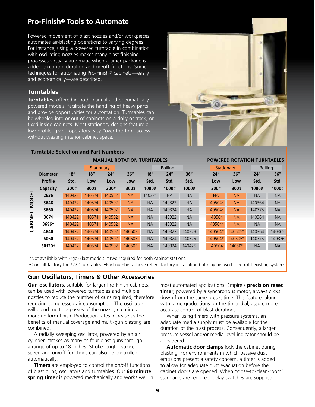### **Pro-Finish® Tools to Automate**

Powered movement of blast nozzles and/or workpieces automates air-blasting operations to varying degrees. For instance, using a powered turntable in combination with oscillating nozzles makes many blast-finishing processes virtually automatic when a timer package is added to control duration and on/off functions. Some techniques for automating Pro-Finish® cabinets—easily and economically—are described.

#### **Turntables**

**Turntables**, offered in both manual and pneumatically powered models, facilitate the handling of heavy parts and provide opportunities for automation. Turntables can be wheeled into or out of cabinets on a dolly or track, or fixed inside cabinets. Most stationary designs feature a low-profile, giving operators easy "over-the-top" access without wasting interior cabinet space.

 **Turntable Selection and Part Numbers**



### Stationary Rolling Rolling Stationary Rolling  **Diameter 18" 18" 24" 36" 18" 24" 36" 24" 36" 24" 36" Profile Std. Low Low Low Std. Std. Std. Low Low Std. Std. Capacity 300# 300# 300# 300# 1000# 1000# 1000# 300# 300# 1000# 1000# 2636** 140422 140574 140502 NA 140321 NA NA NA NA NA NA **3648** 140422 140574 140502 NA NA 140322 NA 140504\* NA 140364 NA **3660** 140422 140574 140502 NA NA 140324 NA 140504\* NA 140375 NA **3674** 140422 140574 140502 NA NA 140322 NA 140504 NA 140364 NA **3696†** 140422 140574 140502 NA NA 140322 NA 140504\* NA NA NA **4848** 140422 140574 140502 140503 NA 140322 140323 140504\* 140505\* 140364 140365 **6060** 140422 140574 140502 140503 NA 140324 140325 140504\* 140505\* 140375 140376 **60120†** 140422 140574 140502 140503 NA 140324 140425 140504 140505 NA NA 14052 140574 140502 NA 140321 NA NA 140604\* NA 140364 NA<br>
160 140422 140574 140502 NA NA 140322 NA 140504\* NA 140375 NA<br>
160 140422 140574 140502 NA NA 140322 NA 140504\* NA 140375 NA<br>
160 160 140422 140574 140502 NA NA 140  **MANUAL ROTATION TURNTABLES POWERED ROTATION TURNTABLES**

\*Not available with Ergo-Blast models. †Two required for both cabinet stations.

#### **Gun Oscillators, Timers & Other Accessories**

**Gun oscillators**, suitable for larger Pro-Finish cabinets, can be used with powered turntables and multiple nozzles to reduce the number of guns required, therefore reducing compressed-air consumption. The oscillator will blend multiple passes of the nozzle, creating a more uniform finish. Production rates increase as the benefits of manual coverage and multi-gun blasting are combined.

 A radially sweeping oscillator, powered by an air cylinder, strokes as many as four blast guns through a range of up to 18 inches. Stroke length, stroke speed and on/off functions can also be controlled automatically.

**Timers** are employed to control the on/off functions of blast guns, oscillators and turntables. Our **60 minute spring timer** is powered mechanically and works well in most automated applications. Empire's **precision reset timer**, powered by a synchronous motor, always clicks down from the same preset time. This feature, along with large graduations on the timer dial, assure more accurate control of blast durations.

 When using timers with pressure systems, an adequate media supply must be available for the duration of the blast process. Consequently, a larger pressure vessel and/or media-level indicator should be considered.

**Automatic door clamps** lock the cabinet during blasting. For environments in which passive dust emissions present a safety concern, a timer is added to allow for adequate dust evacuation before the cabinet doors are opened. When "close-to-clean-room" standards are required, delay switches are supplied.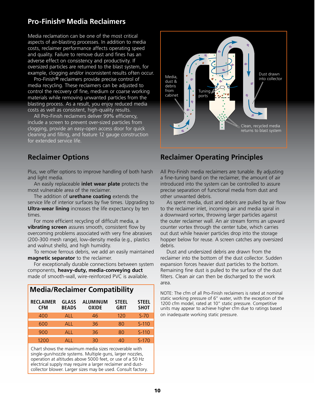### **Pro-Finish® Media Reclaimers**

Media reclamation can be one of the most critical aspects of air-blasting processes. In addition to media costs, reclaimer performance affects operating speed and quality. Failure to remove dust and fines has an adverse effect on consistency and productivity. If oversized particles are returned to the blast system, for example, clogging and/or inconsistent results often occur.

 Pro-Finish® reclaimers provide precise control of media recycling. These reclaimers can be adjusted to control the recovery of fine, medium or coarse working materials while removing unwanted particles from the blasting process. As a result, you enjoy reduced media costs as well as consistent, high-quality results.

 All Pro-Finish reclaimers deliver 99% efficiency, include a screen to prevent over-sized particles from clogging, provide an easy-open access door for quick cleaning and filling, and feature 12 gauge construction for extended service life.

Plus, we offer options to improve handling of both harsh and light media.

 An easily replaceable **inlet wear plate** protects the most vulnerable area of the reclaimer.

The addition of **urethane coating** extends the service life of interior surfaces by five times. Upgrading to **Ultra-wear lining** increases the life expectancy by ten times.

 For more efficient recycling of difficult media, a **vibrating screen** assures smooth, consistent flow by overcoming problems associated with very fine abrasives (200-300 mesh range), low-density media (e.g., plastics and walnut shells), and high humidity.

 To remove ferrous debris, we add an easily maintained **magnetic separator** to the reclaimer.

 For exceptionally durable connections between system components, **heavy-duty, media-conveying duct** made of smooth-wall, wire-reinforced PVC is available.

| <b>Media/Reclaimer Compatibility</b> |                              |                          |                             |                             |  |  |  |  |  |
|--------------------------------------|------------------------------|--------------------------|-----------------------------|-----------------------------|--|--|--|--|--|
| <b>RECLAIMER</b><br><b>CFM</b>       | <b>GLASS</b><br><b>BEADS</b> | ALUMINUM<br><b>OXIDE</b> | <b>STEEL</b><br><b>GRIT</b> | <b>STEEL</b><br><b>SHOT</b> |  |  |  |  |  |
| 400                                  | AI <sub>1</sub>              | 46                       | 120                         | $S-70$                      |  |  |  |  |  |
| 600                                  | <b>ALL</b>                   | 36                       | 80                          | $S-110$                     |  |  |  |  |  |
| 900                                  | AI <sub>1</sub>              | 36                       | 80                          | $S-110$                     |  |  |  |  |  |
| 1200                                 | AH.                          | 30                       | 40                          | $S-170$                     |  |  |  |  |  |

Chart shows the maximum media sizes recoverable with single-gun/nozzle systems. Multiple guns, larger nozzles, operation at altitudes above 5000 feet, or use of a 50 Hz electrical supply may require a larger reclaimer and dustcollector blower. Larger sizes may be used. Consult factory.



### **Reclaimer Options Reclaimer Operating Principles**

All Pro-Finish media reclaimers are tunable. By adjusting a fine-tuning band on the reclaimer, the amount of air introduced into the system can be controlled to assure precise separation of functional media from dust and other unwanted debris.

 As spent media, dust and debris are pulled by air flow to the reclaimer inlet, incoming air and media spiral in a downward vortex, throwing larger particles against the outer reclaimer wall. An air stream forms an upward counter vortex through the center tube, which carries out dust while heavier particles drop into the storage hopper below for reuse. A screen catches any oversized debris.

 Dust and undersized debris are drawn from the reclaimer into the bottom of the dust collector. Sudden expansion forces heavier dust particles to the bottom. Remaining fine dust is pulled to the surface of the dust filters. Clean air can then be discharged to the work area.

NOTE: The cfm of all Pro-Finish reclaimers is rated at nominal static working pressure of 6" water, with the exception of the 1200 cfm model, rated at 10" static pressure. Competitive units may appear to achieve higher cfm due to ratings based on inadequate working static pressure.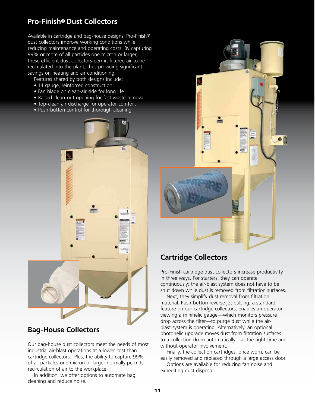### **Pro-Finish® Dust Collectors**

Available in cartridge and bag-house designs, Pro-Finish® dust collectors improve working conditions while reducing maintenance and operating costs. By capturing 99% or more of all particles one micron or larger, these efficient dust collectors permit filtered air to be recirculated into the plant, thus providing significant savings on heating and air conditioning.

Features shared by both designs include:

- 14 gauge, reinforced construction
- Fan blade on clean-air side for long life
- Raised clean-out opening for fast waste removal
- Top-clean air discharge for operator comfort
- Push-button control for thorough cleaning



### **Bag-House Collectors**

Our bag-house dust collectors meet the needs of most industrial air-blast operations at a lower cost than cartridge collectors. Plus, the ability to capture 99% of all particles one micron or larger normally permits recirculation of air to the workplace.

 In addition, we offer options to automate bag cleaning and reduce noise.



### **Cartridge Collectors**

Pro-Finish cartridge dust collectors increase productivity in three ways. For starters, they can operate continuously; the air-blast system does not have to be shut down while dust is removed from filtration surfaces.

 Next, they simplify dust removal from filtration material. Push-button reverse jet-pulsing, a standard feature on our cartridge collectors, enables an operator viewing a minihelic gauge—which monitors pressure drop across the filter—to purge dust while the airblast system is operating. Alternatively, an optional photohelic upgrade moves dust from filtration surfaces to a collection drum automatically—at the right time and without operator involvement.

 Finally, the collection cartridges, once worn, can be easily removed and replaced through a large access door.

 Options are available for reducing fan noise and expediting dust disposal.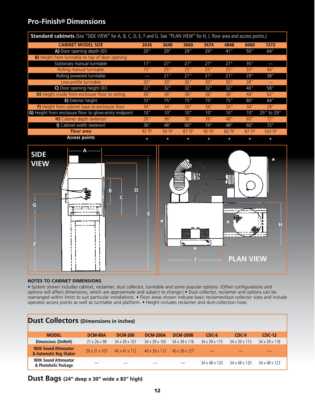### **Pro-Finish® Dimensions**

| <b>Standard cabinets</b> (See "SIDE VIEW" for A, B, C, D, E, F and G. See "PLAN VIEW" for H, I, floor area and access points.) |          |          |                    |                    |                    |                    |                     |
|--------------------------------------------------------------------------------------------------------------------------------|----------|----------|--------------------|--------------------|--------------------|--------------------|---------------------|
| <b>CABINET MODEL SIZE</b>                                                                                                      | 2636     | 3648     | 3660               | 3674               | 4848               | 6060               | 7272                |
| A) Door opening depth (ID)                                                                                                     | 20''     | 29''     | 29''               | 29''               | 41"                | 50''               | 64"                 |
| <b>B)</b> Height from turntable to top of door opening                                                                         |          |          |                    |                    |                    |                    |                     |
| Stationary manual turntable                                                                                                    | 17"      | 27''     | 27''               | 27''               | 27''               | 35''               |                     |
| Rolling manual turntable                                                                                                       | 15"      | 25"      | 25"                | 25"                | 25"                | 33"                | 44''                |
| Rolling powered turntable                                                                                                      |          | 21''     | 21"                | 21''               | 21"                | 29''               | 38''                |
| Low-profile turntable                                                                                                          | 20"      | 30''     | 30''               | 30''               | 30''               | 38''               |                     |
| C) Door opening height (ID)                                                                                                    | 22"      | 32"      | 32"                | 32''               | 32"                | 40''               | 58''                |
| D) Height inside from enclosure floor to ceiling                                                                               | 30"      | 36''     | 36"                | 36"                | 36''               | 44''               | 62"                 |
| <b>E)</b> Exterior height                                                                                                      | 72"      | 75''     | 75''               | 75''               | 75''               | 80"                | 84"                 |
| F) Height from cabinet base to enclosure floor                                                                                 | 34''     | 34''     | 34''               | 34''               | 34''               | 34''               | 28''                |
| G) Height from enclosure floor to glove-entry midpoint                                                                         | 10"      | 10''     | 10''               | 10''               | 10''               | 10"                | $25''$ to 29"       |
| H) Cabinet depth (exterior)                                                                                                    | 26"      | 36''     | 36''               | 36''               | 48"                | 60"                | 72"                 |
| I) Cabinet width (exterior)                                                                                                    | 36"      | 48"      | 60''               | 74''               | 48"                | 60"                | 72"                 |
| <b>Floor</b> area                                                                                                              | 42 $ft2$ | 59 $ft2$ | 87 ft <sup>2</sup> | 90 ft <sup>2</sup> | 80 ft <sup>2</sup> | 87 ft <sup>2</sup> | 163 ft <sup>2</sup> |
| <b>Access points</b>                                                                                                           | $\ast$   | *        | $\star$            | $\ast$             | $\star$            | *                  | $\ast$              |



#### **NOTES TO CABINET DIMENSIONS**

• System shown includes cabinet, reclaimer, dust collector, turntable and some popular options. (Other configurations and options will affect dimensions, which are approximate and subject to change.) • Dust collector, reclaimer and options can be rearranged within limits to suit particular installations. • Floor areas shown indicate basic reclaimer/dust-collector sizes and include operator access points as well as turntable and platform. • Height includes reclaimer and dust-collection hose.

| <b>Dust Collectors</b> (Dimensions in inches)          |                          |                           |                 |                 |               |               |               |
|--------------------------------------------------------|--------------------------|---------------------------|-----------------|-----------------|---------------|---------------|---------------|
| <b>MODEL</b>                                           | DCM-80A                  | <b>DCM-200</b>            | <b>DCM-200A</b> | <b>DCM-200B</b> | $CDC-6$       | $CDC-9$       | <b>CDC-12</b> |
| <b>Dimensions (DxWxH)</b>                              | $21 \times 26 \times 98$ | 34 x 39 x 107             | 34 x 39 x 105   | 34 x 39 x 116   | 34 x 39 x 115 | 34 x 39 x 115 | 34 x 39 x 118 |
| <b>With Sound Attenuator</b><br>& Automatic Bag Shaker | 29 x 31 x 107            | $40 \times 41 \times 112$ | 40 x 39 x 112   | 40 x 39 x 127   |               |               |               |
| <b>With Sound Attenuator</b><br>& Photohelic Package   |                          |                           |                 |                 | 34 x 48 x 120 | 34 x 48 x 120 | 34 x 48 x 123 |

### **Dust Bags (24" deep x 30" wide x 83" high)**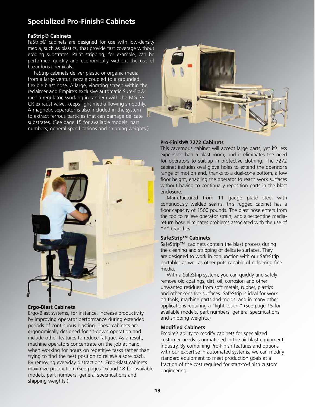### **Specialized Pro-Finish® Cabinets**

#### **FaStrip® Cabinets**

FaStrip® cabinets are designed for use with low-density media, such as plastics, that provide fast coverage without eroding substrates. Paint stripping, for example, can be performed quickly and economically without the use of hazardous chemicals.

 FaStrip cabinets deliver plastic or organic media from a large venturi nozzle coupled to a grounded, flexible blast hose. A large, vibrating screen within the reclaimer and Empire's exclusive automatic Sure-Flo® media regulator, working in tandem with the MG-78 CR exhaust valve, keeps light media flowing smoothly. A magnetic separator is also included in the system to extract ferrous particles that can damage delicate substrates. (See page 15 for available models, part numbers, general specifications and shipping weights.)



#### **Ergo-Blast Cabinets**

Ergo-Blast systems, for instance, increase productivity by improving operator performance during extended periods of continuous blasting. These cabinets are ergonomically designed for sit-down operation and include other features to reduce fatigue. As a result, machine operators concentrate on the job at hand when working for hours on repetitive tasks rather than trying to find the best position to relieve a sore back. By removing everyday distractions, Ergo-Blast cabinets maximize production. (See pages 16 and 18 for available models, part numbers, general specifications and shipping weights.)



#### **Pro-Finish® 7272 Cabinets**

This cavernous cabinet will accept large parts, yet it's less expensive than a blast room, and it eliminates the need for operators to suit-up in protective clothing. The 7272 cabinet includes oval glove holes to extend the operator's range of motion and, thanks to a dual-cone bottom, a low floor height, enabling the operator to reach work surfaces without having to continually reposition parts in the blast enclosure.

 Manufactured from 11 gauge plate steel with continuously welded seams, this rugged cabinet has a floor capacity of 1500 pounds. The blast hose enters from the top to relieve operator strain, and a serpentine mediareturn hose eliminates problems associated with the use of "Y" branches.

#### **SafeStrip™ Cabinets**

SafeStrip™ cabinets contain the blast process during the cleaning and stripping of delicate surfaces. They are designed to work in conjunction with our SafeStrip portables as well as other pots capable of delivering fine media.

 With a SafeStrip system, you can quickly and safely remove old coatings, dirt, oil, corrosion and other unwanted residues from soft metals, rubber, plastics and other sensitive surfaces. SafeStrip is ideal for work on tools, machine parts and molds, and in many other applications requiring a "light touch." (See page 15 for available models, part numbers, general specifications and shipping weights.)

#### **Modified Cabinets**

Empire's ability to modify cabinets for specialized customer needs is unmatched in the air-blast equipment industry. By combining Pro-Finish features and options with our expertise in automated systems, we can modify standard equipment to meet production goals at a fraction of the cost required for start-to-finish custom engineering.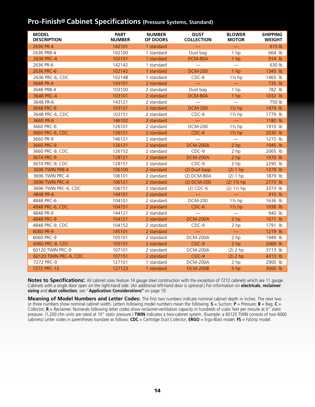### **Pro-Finish® Cabinet Specifications (Pressure Systems, Standard)**

| <b>MODEL</b><br><b>DESCRIPTION</b> | <b>PART</b><br><b>NUMBER</b> | <b>NUMBER</b><br>OF DOORS | <b>DUST</b><br><b>COLLECTION</b> | <b>BLOWER</b><br><b>MOTOR</b> | <b>SHIPPING</b><br><b>WEIGHT</b> |
|------------------------------------|------------------------------|---------------------------|----------------------------------|-------------------------------|----------------------------------|
| 2636 PR-4                          | 142101                       | 1 standard                |                                  | $\equiv$                      | 615 lb                           |
| 2636 PRB-4                         | 102100                       | 1 standard                | Dust bag                         | 1 hp                          | 664 lb                           |
| 2636 PRC-4                         | 102101                       | 1 standard                | DCM-80A                          | 1 <sub>hp</sub>               | 914 lb                           |
| 2636 PR-6                          | 142142                       | 1 standard                | $\overbrace{\qquad \qquad }^{ }$ |                               | 630 lb                           |
| 2636 PRC-6                         | 102142                       | 1 standard                | <b>DCM-200</b>                   | 1 hp                          | 1345 lb                          |
| 2636 PRC-6, CDC                    | 102148                       | 1 standard                | $CDC-6$                          | $1\frac{1}{2}$ hp             | 1465 lb                          |
| 3648 PR-4                          | 143101                       | 2 standard                | $\overline{\phantom{m}}$         | $\overline{\phantom{m}}$      | 735 lb                           |
| 3648 PRB-4                         | 103100                       | 2 standard                | Dust bag                         | 1 hp                          | 782 lb                           |
| 3648 PRC-4                         | 103101                       | 2 standard                | DCM-80A                          | 1 hp                          | 1032 lb                          |
| 3648 PR-6                          | 143121                       | 2 standard                |                                  |                               | 750 lb                           |
| 3648 PRC-6                         | 103121                       | 2 standard                | <b>DCM-200</b>                   | $1\frac{1}{2}$ hp             | 1479 lb                          |
| 3648 PRC-6, CDC                    | 103151                       | 2 standard                | $CDC-6$                          | $1\frac{1}{2}$ hp             | 1779 lb                          |
| 3660 PR-6                          | 146102                       | 2 standard                |                                  |                               | 1180 lb                          |
| 3660 PRC-6                         | 126101                       | 2 standard                | <b>DCM-200</b>                   | $1\frac{1}{2}$ hp             | 1910 lb                          |
| 3660 PRC-6, CDC                    | 126151                       | 2 standard                | $CDC-6$                          | $1\frac{1}{2}$ hp             | 2030 lb                          |
| 3660 PR-9                          | 146121                       | 2 standard                |                                  |                               | 1215 lb                          |
| 3660 PRC-9                         | 126121                       | 2 standard                | <b>DCM-200A</b>                  | 2 <sub>hp</sub>               | 1945 lb                          |
| 3660 PRC-9, CDC                    | 126152                       | 2 standard                | $CDC-9$                          | 2 hp                          | 2065 lb                          |
| 3674 PRC-9                         | 128121                       | 2 standard                | <b>DCM-200A</b>                  | 2 hp                          | 1970 lb                          |
| 3674 PRC-9, CDC                    | 128151                       | 2 standard                | $CDC-9$                          | 2 hp                          | 2290 lb                          |
| 3696 TWIN PRB-4                    | 106100                       | 2 standard                | (2) Dust bags                    | (2) 1 hp                      | 1379 lb                          |
| 3696 TWIN PRC-4                    | 106101                       | 2 standard                | (2) DCM-80A                      | (2) 1 hp                      | 1879 lb                          |
| 3696 TWIN PRC-6                    | 106121                       | 2 standard                | (2) DCM-200                      | $(2) 1\frac{1}{2}$ hp         | 2773 lb                          |
| 3696 TWIN PRC-6, CDC               | 106151                       | 2 standard                | $(2)$ CDC-6                      | $(2) 1\frac{1}{2}$ hp         | 3373 lb                          |
| 4848 PR-6                          | 144101                       | 2 standard                |                                  |                               | 910 lb                           |
| 4848 PRC-6                         | 104101                       | 2 standard                | <b>DCM-200</b>                   | $1\frac{1}{2}$ hp             | 1636 lb                          |
| 4848 PRC-6, CDC                    | 104151                       | 2 standard                | $CDC-6$                          | $1\frac{1}{2}$ hp             | 1936 lb                          |
| 4848 PR-9                          | 144121                       | 2 standard                |                                  |                               | 940 lb                           |
| 4848 PRC-9                         | 104121                       | 2 standard                | <b>DCM-200A</b>                  | 2 <sub>hp</sub>               | 1671 lb                          |
| 4848 PRC-9, CDC                    | 104152                       | 2 standard                | $CDC-9$                          | 2 hp                          | 1791 lb                          |
| 6060 PR-9                          | 145101                       | 2 standard                |                                  |                               | 1219 lb                          |
| 6060 PRC-9                         | 105101                       | 2 standard                | <b>DCM-200A</b>                  | 2 hp                          | 1949 lb                          |
| 6060 PRC-9, CDC                    | 105151                       | 2 standard                | $CDC-9$                          | 2 <sub>hp</sub>               | 2069 lb                          |
| 60120 TWIN PRC-9                   | 107101                       | 2 standard                | DCM-200A                         | $(2)$ 2 hp                    | 3713 lb                          |
| 60120 TWIN PRC-9, CDC              | 107151                       | 2 standard                | $CDC-9$                          | $(2)$ 2 hp                    | 4313 lb                          |
| 7272 PRC-9                         | 127101                       | 1 standard                | <b>DCM-200A</b>                  | 2 hp                          | 2900 lb                          |
| 7272 PRC-12                        | 127123                       | 1 standard                | <b>DCM-200B</b>                  | 5 hp                          | 3000 lb                          |

**Notes to Specifications:** All cabinet sizes feature 14 gauge steel construction with the exception of 7272 cabinets which are 11 gauge. Cabinets with a single door open on the right-hand side. (An additional left-hand door is optional.) For information on **electricals**, **reclaimer sizing** and **dust collection**, see "**Application Considerations"** on page 19.

**Meaning of Model Numbers and Letter Codes:** The first two numbers indicate nominal cabinet depth in inches. The next two or three numbers show nominal cabinet width. Letters following model numbers mean the following: **S** = Suction; **P** = Pressure; **B** = Bag; **C** = Collector; **R** = Reclaimer. Numerals following letter codes show reclaimer-ventilation capacity in hundreds of cubic feet per minute at 6" static pressure. (1,200 cfm units are rated at 10" static pressure.) **TWIN** indicates a two-cabinet system. (Example: a 60120 TWIN consists of two 6060 cabinets) Letter codes in parentheses translate as follows: **CDC** = Cartridge Dust Collector; **ERGO** = Ergo-Blast model; **FS** = FaStrip model.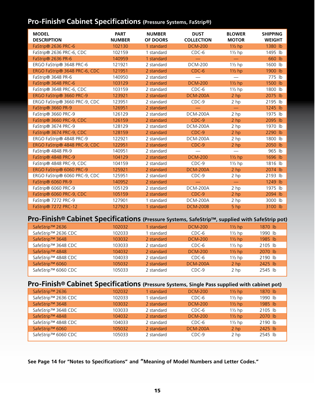### **Pro-Finish® Cabinet Specifications (Pressure Systems, FaStrip®)**

| <b>MODEL</b><br><b>DESCRIPTION</b> | <b>PART</b><br><b>NUMBER</b> | <b>NUMBER</b><br><b>OF DOORS</b> | <b>DUST</b><br><b>COLLECTION</b> | <b>BLOWER</b><br><b>MOTOR</b> | <b>SHIPPING</b><br><b>WEIGHT</b> |
|------------------------------------|------------------------------|----------------------------------|----------------------------------|-------------------------------|----------------------------------|
| FaStrip® 2636 PRC-6                | 102130                       | 1 standard                       | <b>DCM-200</b>                   | $1\frac{1}{2}$ hp             | 1380 lb                          |
| FaStrip® 2636 PRC-6, CDC           | 102159                       | 1 standard                       | $CDC-6$                          | $1\frac{1}{2}$ hp             | 1495 lb                          |
| FaStrip® 2636 PR-6                 | 140959                       | 1 standard                       |                                  |                               | 660 lb                           |
| ERGO FaStrip® 3648 PRC-6           | 121921                       | 2 standard                       | <b>DCM-200</b>                   | $1\frac{1}{2}$ hp             | 1600 lb                          |
| ERGO FaStrip® 3648 PRC-6, CDC      | 121951                       | 2 standard                       | $CDC-6$                          | $1\frac{1}{2}$ hp             | 1900 lb                          |
| FaStrip® 3648 PR-6                 | 140950                       | 2 standard                       |                                  |                               | 775 lb                           |
| FaStrip® 3648 PRC-6                | 103129                       | 2 standard                       | <b>DCM-200</b>                   | $1\frac{1}{2}$ hp             | 1500 lb                          |
| FaStrip® 3648 PRC-6, CDC           | 103159                       | 2 standard                       | CDC-6                            | $1\frac{1}{2}$ hp             | 1800 lb                          |
| ERGO FaStrip® 3660 PRC-9           | 123921                       | 2 standard                       | <b>DCM-200A</b>                  | 2 <sub>hp</sub>               | 2075 lb                          |
| ERGO FaStrip® 3660 PRC-9, CDC      | 123951                       | 2 standard                       | $CDC-9$                          | 2 hp                          | 2195 lb                          |
| FaStrip® 3660 PR-9                 | 126951                       | 2 standard                       |                                  |                               | 1245 lb                          |
| FaStrip® 3660 PRC-9                | 126129                       | 2 standard                       | DCM-200A                         | 2 hp                          | 1975 lb                          |
| FaStrip® 3660 PRC-9, CDC           | 126159                       | 2 standard                       | CDC-9                            | 2 <sub>hp</sub>               | 2095 lb                          |
| FaStrip® 3674 PRC-9                | 128129                       | 2 standard                       | <b>DCM-200A</b>                  | 2 hp                          | 1970 lb                          |
| FaStrip® 3674 PRC-9, CDC           | 128159                       | 2 standard                       | $CDC-9$                          | 2 <sub>hp</sub>               | 2290 lb                          |
| ERGO FaStrip® 4848 PRC-9           | 122921                       | 2 standard                       | <b>DCM-200A</b>                  | 2 hp                          | 1800 lb                          |
| ERGO FaStrip® 4848 PRC-9, CDC      | 122951                       | 2 standard                       | CDC-9                            | $2$ hp                        | 2050 lb                          |
| FaStrip® 4848 PR-9                 | 140951                       | 2 standard                       |                                  |                               | 965 lb                           |
| FaStrip® 4848 PRC-9                | 104129                       | 2 standard                       | <b>DCM-200</b>                   | $1\frac{1}{2}$ hp             | 1696 lb                          |
| FaStrip® 4848 PRC-9, CDC           | 104159                       | 2 standard                       | $CDC-9$                          | $1\frac{1}{2}$ hp             | 1816 lb                          |
| ERGO FaStrip® 6060 PRC-9           | 125921                       | 2 standard                       | <b>DCM-200A</b>                  | 2 <sub>hp</sub>               | 2074 lb                          |
| ERGO FaStrip® 6060 PRC-9, CDC      | 125951                       | 2 standard                       | CDC-9                            | 2 hp                          | 2193 lb                          |
| FaStrip® 6060 PR-9                 | 140952                       | 2 standard                       |                                  | $\qquad \qquad -$             | 1249 lb                          |
| FaStrip® 6060 PRC-9                | 105129                       | 2 standard                       | <b>DCM-200A</b>                  | 2 hp                          | 1975 lb                          |
| FaStrip® 6060 PRC-9, CDC           | 105159                       | 2 standard                       | CDC-9                            | $2$ hp                        | 2094 lb                          |
| FaStrip® 7272 PRC-9                | 127901                       | 1 standard                       | <b>DCM-200A</b>                  | 2 hp                          | 3000 lb                          |
| FaStrip® 7272 PRC-12               | 127923                       | 1 standard                       | <b>DCM-200B</b>                  | 5 hp                          | 3100 lb                          |

### **Pro-Finish® Cabinet Specifications (Pressure Systems, SafeStrip™, supplied with SafeStrip pot)**

| SafeStrip™ 2636     | 102032 | 1 standard | <b>DCM-200</b>  | $1\frac{1}{2}$ hp | 1870 lb   |
|---------------------|--------|------------|-----------------|-------------------|-----------|
| SafeStrip™ 2636 CDC | 102033 | 1 standard | CDC-6           | $1\frac{1}{2}$ hp | 1990 lb   |
| SafeStrip™ 3648     | 103032 | 2 standard | <b>DCM-200</b>  | $1\frac{1}{2}$ hp | 1985 lb   |
| SafeStrip™ 3648 CDC | 103033 | 2 standard | CDC-6           | $1\frac{1}{2}$ hp | 2105 lb   |
| SafeStrip™ 4848     | 104032 | 2 standard | <b>DCM-200</b>  | $1\frac{1}{2}$ hp | 2070 lb   |
| SafeStrip™ 4848 CDC | 104033 | 2 standard | $CDC-6$         | $1\frac{1}{2}$ hp | 2190 lb   |
| SafeStrip™ 6060     | 105032 | 2 standard | <b>DCM-200A</b> | 2 <sub>hp</sub>   | $2425$ lb |
| SafeStrip™ 6060 CDC | 105033 | 2 standard | $CDC-9$         | 2 <sub>hp</sub>   | 2545 lb   |

### **Pro-Finish® Cabinet Specifications (Pressure Systems, Single Pass supplied with cabinet pot)**

| SafeStrip™ 2636     | 102032 | 1 standard | <b>DCM-200</b>  | $1\frac{1}{2}$ hp | 1870 lb   |
|---------------------|--------|------------|-----------------|-------------------|-----------|
| SafeStrip™ 2636 CDC | 102033 | standard   | CDC-6           | $1\frac{1}{2}$ hp | 1990 lb   |
| SafeStrip™ 3648     | 103032 | 2 standard | <b>DCM-200</b>  | $1\frac{1}{2}$ hp | 1985 lb   |
| SafeStrip™ 3648 CDC | 103033 | 2 standard | CDC-6           | $1\frac{1}{2}$ hp | 2105 lb   |
| SafeStrip™ 4848     | 104032 | 2 standard | <b>DCM-200</b>  | $1\frac{1}{2}$ hp | 2070 lb   |
| SafeStrip™ 4848 CDC | 104033 | 2 standard | CDC-6           | $1\frac{1}{2}$ hp | 2190 lb   |
| SafeStrip™ 6060     | 105032 | 2 standard | <b>DCM-200A</b> | 2 <sub>hp</sub>   | $2425$ lb |
| SafeStrip™ 6060 CDC | 105033 | 2 standard | $CDC-9$         | 2 <sub>hp</sub>   | 2545 lb   |

**See Page 14 for "Notes to Specifications" and "Meaning of Model Numbers and Letter Codes."**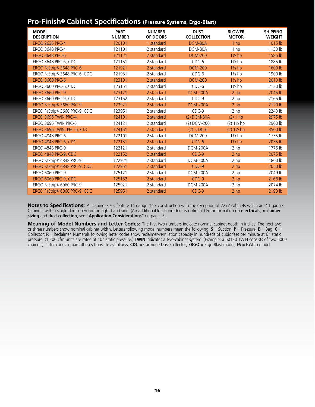### **Pro-Finish® Cabinet Specifications (Pressure Systems, Ergo-Blast)**

| <b>MODEL</b><br><b>DESCRIPTION</b> | <b>PART</b><br><b>NUMBER</b> | <b>NUMBER</b><br>OF DOORS | <b>DUST</b><br><b>COLLECTION</b> | <b>BLOWER</b><br><b>MOTOR</b> | <b>SHIPPING</b><br><b>WEIGHT</b> |
|------------------------------------|------------------------------|---------------------------|----------------------------------|-------------------------------|----------------------------------|
| <b>ERGO 2636 PRC-4</b>             | 120101                       | 1 standard                | DCM-80A                          | 1 hp                          | 1015 lb                          |
| ERGO 3648 PRC-4                    | 121101                       | 2 standard                | DCM-80A                          | 1 hp                          | 1130 lb                          |
| <b>ERGO 3648 PRC-6</b>             | 121121                       | 2 standard                | <b>DCM-200</b>                   | $1\frac{1}{2}$ hp             | 1585 lb                          |
| ERGO 3648 PRC-6, CDC               | 121151                       | 2 standard                | $CDC-6$                          | $1\frac{1}{2}$ hp             | 1885 lb                          |
| ERGO FaStrip® 3648 PRC-6           | 121921                       | 2 standard                | <b>DCM-200</b>                   | $1\frac{1}{2}$ hp             | 1600 lb                          |
| ERGO FaStrip® 3648 PRC-6, CDC      | 121951                       | 2 standard                | $CDC-6$                          | $1\frac{1}{2}$ hp             | 1900 lb                          |
| <b>ERGO 3660 PRC-6</b>             | 123101                       | 2 standard                | <b>DCM-200</b>                   | $1\frac{1}{2}$ hp             | 2010 lb                          |
| ERGO 3660 PRC-6, CDC               | 123151                       | 2 standard                | $CDC-6$                          | $1\frac{1}{2}$ hp             | 2130 lb                          |
| <b>ERGO 3660 PRC-9</b>             | 123121                       | 2 standard                | <b>DCM-200A</b>                  | 2 <sub>hp</sub>               | 2045 lb                          |
| <b>ERGO 3660 PRC-9, CDC</b>        | 123152                       | 2 standard                | $CDC-9$                          | 2 hp                          | 2165 lb                          |
| ERGO FaStrip® 3660 PRC-9           | 123921                       | 2 standard                | <b>DCM-200A</b>                  | 2 hp                          | 2120 lb                          |
| ERGO FaStrip® 3660 PRC-9, CDC      | 123951                       | 2 standard                | $CDC-9$                          | 2 hp                          | 2240 lb                          |
| ERGO 3696 TWIN PRC-4,              | 124101                       | 2 standard                | (2) DCM-80A                      | (2) 1 hp                      | 2975 lb                          |
| ERGO 3696 TWIN PRC-6               | 124121                       | 2 standard                | (2) DCM-200                      | $(2) 1\frac{1}{2}$ hp         | 2900 lb                          |
| ERGO 3696 TWIN, PRC-6, CDC         | 124151                       | 2 standard                | $(2)$ CDC-6                      | $(2) 1\frac{1}{2}$ hp         | 3500 lb                          |
| <b>ERGO 4848 PRC-6</b>             | 122101                       | 2 standard                | <b>DCM-200</b>                   | $1\frac{1}{2}$ hp             | 1735 lb                          |
| <b>ERGO 4848 PRC-6, CDC</b>        | 122151                       | 2 standard                | $CDC-6$                          | $1\frac{1}{2}$ hp             | 2035 lb                          |
| ERGO 4848 PRC-9                    | 122121                       | 2 standard                | <b>DCM-200A</b>                  | 2 hp                          | 1775 lb                          |
| <b>ERGO 4848 PRC-9, CDC</b>        | 122152                       | 2 standard                | $CDC-9$                          | 2 hp                          | 2075 lb                          |
| ERGO FaStrip® 4848 PRC-9           | 122921                       | 2 standard                | <b>DCM-200A</b>                  | 2 hp                          | 1800 lb                          |
| ERGO FaStrip® 4848 PRC-9, CDC      | 122951                       | 2 standard                | $CDC-9$                          | 2 hp                          | 2050 lb                          |
| ERGO 6060 PRC-9                    | 125121                       | 2 standard                | <b>DCM-200A</b>                  | 2 hp                          | 2049 lb                          |
| <b>ERGO 6060 PRC-9, CDC</b>        | 125152                       | 2 standard                | $CDC-9$                          | 2 hp                          | 2168 lb                          |
| ERGO FaStrip® 6060 PRC-9           | 125921                       | 2 standard                | <b>DCM-200A</b>                  | 2 hp                          | 2074 lb                          |
| ERGO FaStrip® 6060 PRC-9, CDC      | 125951                       | 2 standard                | $CDC-9$                          | $2$ hp                        | 2193 lb                          |

**Notes to Specifications:** All cabinet sizes feature 14 gauge steel construction with the exception of 7272 cabinets which are 11 gauge. Cabinets with a single door open on the right-hand side. (An additional left-hand door is optional.) For information on **electricals**, **reclaimer sizing** and **dust collection**, see "**Application Considerations"** on page 19.

**Meaning of Model Numbers and Letter Codes:** The first two numbers indicate nominal cabinet depth in inches. The next two or three numbers show nominal cabinet width. Letters following model numbers mean the following: **S** = Suction; **P** = Pressure; **B** = Bag; **C** = Collector; **R** = Reclaimer. Numerals following letter codes show reclaimer-ventilation capacity in hundreds of cubic feet per minute at 6" static pressure. (1,200 cfm units are rated at 10" static pressure.) **TWIN** indicates a two-cabinet system. (Example: a 60120 TWIN consists of two 6060 cabinets) Letter codes in parentheses translate as follows: **CDC** = Cartridge Dust Collector; **ERGO** = Ergo-Blast model; **FS** = FaStrip model.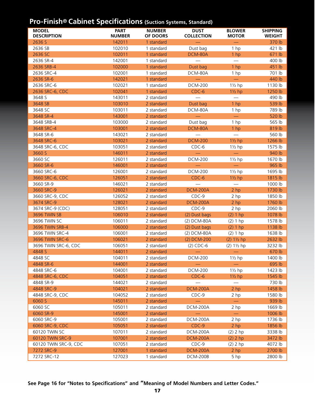### **Pro-Finish® Cabinet Specifications (Suction Systems, Standard)**

| <b>MODEL</b><br><b>DESCRIPTION</b>  | <b>PART</b><br><b>NUMBER</b> | <b>NUMBER</b><br>OF DOORS | <b>DUST</b><br><b>COLLECTION</b> | <b>BLOWER</b><br><b>MOTOR</b> | <b>SHIPPING</b><br><b>WEIGHT</b> |
|-------------------------------------|------------------------------|---------------------------|----------------------------------|-------------------------------|----------------------------------|
| 2636 S                              | 142011                       | 1 standard                |                                  | $\overline{\phantom{0}}$      | 370 lb                           |
| 2636 SB                             | 102010                       | 1 standard                | Dust bag                         | 1 hp                          | 421 lb                           |
| 2636 SC                             | 102011                       | 1 standard                | DCM-80A                          | 1 hp                          | 671 lb                           |
| 2636 SR-4                           | 142001                       | 1 standard                |                                  |                               | 400 lb                           |
| 2636 SRB-4                          | 102000                       | 1 standard                | Dust bag                         | 1 hp                          | 451 lb                           |
| 2636 SRC-4                          | 102001                       | 1 standard                | DCM-80A                          | 1 hp                          | 701 lb                           |
| 2636 SR-6                           | 142021                       | 1 standard                |                                  | $\equiv$                      | 440 lb                           |
| 2636 SRC-6                          | 102021                       | 1 standard                | <b>DCM-200</b>                   | $1\frac{1}{2}$ hp             | 1130 lb                          |
| 2636 SRC-6, CDC                     | 102041                       | 1 standard                | $CDC-6$                          | $1\frac{1}{2}$ hp             | 1250 lb                          |
| 3648 S                              | 143011                       | 2 standard                |                                  |                               | 490 lb                           |
| 3648 SB                             | 103010                       | 2 standard                | Dust bag                         | 1 hp                          | 539 lb                           |
| 3648 SC                             | 103011                       | 2 standard                | DCM-80A                          | 1 hp                          | 789 lb                           |
| 3648 SR-4                           | 143001                       | 2 standard                |                                  | $\frac{1}{2}$                 | 520 lb                           |
| 3648 SRB-4                          | 103000                       | 2 standard                | Dust bag                         | 1 hp                          | 565 lb                           |
| 3648 SRC-4                          | 103001                       | 2 standard                | DCM-80A                          | 1 hp                          | 819 lb                           |
| 3648 SR-6                           | 143021                       | 2 standard                |                                  |                               | 560 lb                           |
| 3648 SRC-6                          | 103021                       | 2 standard                | <b>DCM-200</b>                   | $1\frac{1}{2}$ hp             | 1266 lb                          |
| 3648 SRC-6, CDC                     | 103051                       | 2 standard                | $CDC-6$                          | $1\frac{1}{2}$ hp             | 1575 lb                          |
| 3660 S                              | 146011                       | 2 standard                |                                  | $\equiv$                      | 940 lb                           |
| 3660 SC                             | 126011                       | 2 standard                | <b>DCM-200</b>                   | $1\frac{1}{2}$ hp             | 1670 lb                          |
| 3660 SR-6                           | 146001                       | 2 standard                |                                  |                               | 965 lb                           |
| 3660 SRC-6                          | 126001                       | 2 standard                | <b>DCM-200</b>                   | $1\frac{1}{2}$ hp             | 1695 lb                          |
| 3660 SRC-6, CDC                     | 126051                       | 2 standard                | $CDC-6$                          | $1\frac{1}{2}$ hp             | 1815 lb                          |
| 3660 SR-9                           | 146021                       | 2 standard                |                                  |                               | 1000 lb                          |
| 3660 SRC-9                          | 126021                       | 2 standard                | <b>DCM-200A</b>                  | 2 hp                          | 1730 lb                          |
| 3660 SRC-9, CDC                     | 126052                       | 2 standard                | $CDC-9$                          | 2 <sub>hp</sub>               | 1850 lb                          |
| 3674 SRC-9                          | 128021                       | 2 standard                | <b>DCM-200A</b>                  | 2 hp                          | 1760 lb                          |
| 3674 SRC-9 (CDC)                    | 128051                       | 2 standard                | $CDC-9$                          | 2 hp                          | 2060 lb                          |
| 3696 TWIN SB                        | 106010                       | 2 standard                | (2) Dust bags                    | (2) 1 hp                      | 1078 lb                          |
| 3696 TWIN SC                        | 106011                       | 2 standard                | (2) DCM-80A                      | (2) 1 hp                      | 1578 lb                          |
| 3696 TWIN SRB-4                     | 106000                       | 2 standard                | (2) Dust bags                    | (2) 1 hp                      | 1138 lb                          |
| 3696 TWIN SRC-4                     | 106001                       | 2 standard                | (2) DCM-80A                      | (2) 1 hp                      | 1638 lb                          |
| 3696 TWIN SRC-6                     | 106021                       | 2 standard                | (2) DCM-200                      | $(2) 11/2$ hp                 | 2632 lb                          |
| 3696 TWIN SRC-6, CDC                | 106051                       | 2 standard                | $(2)$ CDC-6                      | $(2) 1\frac{1}{2}$ hp         | 3232 lb                          |
| 4848 S                              | 144011                       | 2 standard                |                                  |                               | 670 lb                           |
| 4848 SC                             | 104011                       | 2 standard                | <b>DCM-200</b>                   | $1\frac{1}{2}$ hp             | 1400 lb                          |
| 4848 SR-6                           | 144001                       | 2 standard                |                                  |                               | 695 lb                           |
| 4848 SRC-6                          | 104001                       | 2 standard                | <b>DCM-200</b>                   | $1\frac{1}{2}$ hp             | 1423 lb                          |
| 4848 SRC-6, CDC                     | 104051                       | 2 standard                | $CDC-6$                          | $1\frac{1}{2}$ hp             | 1545 lb                          |
| 4848 SR-9                           | 144021                       | 2 standard                |                                  |                               | 730 lb                           |
| 4848 SRC-9                          | 104021                       | 2 standard                | <b>DCM-200A</b>                  | 2 hp                          | 1458 lb                          |
| 4848 SRC-9, CDC                     | 104052                       | 2 standard                | $CDC-9$                          | 2 hp                          | 1580 lb                          |
| 6060 S                              | 145011                       | 2 standard                |                                  |                               | 939 lb                           |
| 6060 SC                             | 105011                       | 2 standard                | DCM-200A                         | 2 hp                          | 1669 lb                          |
| 6060 SR-9                           | 145001                       | 2 standard                |                                  |                               | 1006 lb                          |
| 6060 SRC-9                          | 105001                       | 2 standard                | DCM-200A                         | 2 hp                          | 1736 lb                          |
| 6060 SRC-9, CDC                     | 105051                       | 2 standard                | CDC-9                            | 2 hp                          | 1856 lb                          |
| 60120 TWIN SC                       | 107011                       | 2 standard                | DCM-200A                         | $(2)$ 2 hp                    | 3338 lb                          |
| 60120 TWIN SRC-9                    | 107001                       | 2 standard                | <b>DCM-200A</b>                  | $(2)$ 2 hp                    | 3472 lb                          |
| 60120 TWIN SRC-9, CDC<br>7272 SRC-9 | 107051<br>127001             | 2 standard<br>1 standard  | CDC-9<br><b>DCM-200A</b>         | $(2)$ 2 hp                    | 4072 lb<br>2700 lb               |
| 7272 SRC-12                         | 127023                       | 1 standard                | <b>DCM-200B</b>                  | 2 hp<br>5 hp                  | 2800 lb                          |
|                                     |                              |                           |                                  |                               |                                  |

**See Page 16 for "Notes to Specifications" and "Meaning of Model Numbers and Letter Codes."**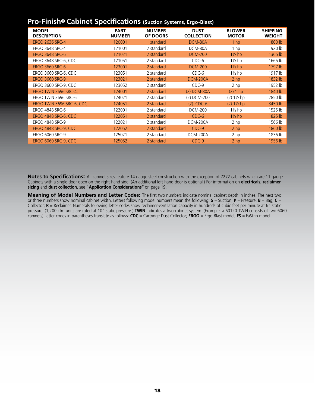### **Pro-Finish® Cabinet Specifications (Suction Systems, Ergo-Blast)**

| <b>MODEL</b><br><b>DESCRIPTION</b> | <b>PART</b><br><b>NUMBER</b> | <b>NUMBER</b><br><b>OF DOORS</b> | <b>DUST</b><br><b>COLLECTION</b> | <b>BLOWER</b><br><b>MOTOR</b> | <b>SHIPPING</b><br><b>WEIGHT</b> |
|------------------------------------|------------------------------|----------------------------------|----------------------------------|-------------------------------|----------------------------------|
| <b>ERGO 2636 SRC-4</b>             | 120001                       | 1 standard                       | DCM-80A                          | 1 <sub>hp</sub>               | 800 lb                           |
| ERGO 3648 SRC-4                    | 121001                       | 2 standard                       | DCM-80A                          | 1 <sub>hp</sub>               | 920 lb                           |
| <b>ERGO 3648 SRC-6</b>             | 121021                       | 2 standard                       | <b>DCM-200</b>                   | $1\frac{1}{2}$ hp             | 1365 lb                          |
| ERGO 3648 SRC-6, CDC               | 121051                       | 2 standard                       | CDC-6                            | $1\frac{1}{2}$ hp             | 1665 lb                          |
| <b>ERGO 3660 SRC-6</b>             | 123001                       | 2 standard                       | <b>DCM-200</b>                   | $1\frac{1}{2}$ hp             | 1797 lb                          |
| ERGO 3660 SRC-6, CDC               | 123051                       | 2 standard                       | CDC-6                            | $1\frac{1}{2}$ hp             | 1917 lb                          |
| <b>ERGO 3660 SRC-9</b>             | 123021                       | 2 standard                       | <b>DCM-200A</b>                  | 2 <sub>hp</sub>               | 1832 lb                          |
| ERGO 3660 SRC-9, CDC               | 123052                       | 2 standard                       | CDC-9                            | 2 <sub>hp</sub>               | 1952 lb                          |
| ERGO TWIN 3696 SRC-4,              | 124001                       | 2 standard                       | (2) DCM-80A                      | (2) 1 hp                      | 1840 lb                          |
| ERGO TWIN 3696 SRC-6               | 124021                       | 2 standard                       | (2) DCM-200                      | $(2) 1\frac{1}{2}$ hp         | 2850 lb                          |
| ERGO TWIN 3696 SRC-6, CDC          | 124051                       | 2 standard                       | $(2)$ CDC-6                      | $(2) 1\frac{1}{2}$ hp         | 3450 lb                          |
| <b>ERGO 4848 SRC-6</b>             | 122001                       | 2 standard                       | <b>DCM-200</b>                   | $1\frac{1}{2}$ hp             | 1525 lb                          |
| <b>ERGO 4848 SRC-6, CDC</b>        | 122051                       | 2 standard                       | $CDC-6$                          | $1\frac{1}{2}$ hp             | 1825 lb                          |
| <b>ERGO 4848 SRC-9</b>             | 122021                       | 2 standard                       | <b>DCM-200A</b>                  | 2 hp                          | 1566 lb                          |
| <b>ERGO 4848 SRC-9, CDC</b>        | 122052                       | 2 standard                       | CDC-9                            | 2 <sub>hp</sub>               | 1860 lb                          |
| ERGO 6060 SRC-9                    | 125021                       | 2 standard                       | <b>DCM-200A</b>                  | 2 hp                          | 1836 lb                          |
| <b>ERGO 6060 SRC-9, CDC</b>        | 125052                       | 2 standard                       | $CDC-9$                          | 2 <sub>hp</sub>               | 1956 lb                          |

**Notes to Specifications:** All cabinet sizes feature 14 gauge steel construction with the exception of 7272 cabinets which are 11 gauge. Cabinets with a single door open on the right-hand side. (An additional left-hand door is optional.) For information on **electricals**, **reclaimer sizing** and **dust collection**, see "**Application Considerations"** on page 19.

**Meaning of Model Numbers and Letter Codes:** The first two numbers indicate nominal cabinet depth in inches. The next two or three numbers show nominal cabinet width. Letters following model numbers mean the following: **S** = Suction; **P** = Pressure; **B** = Bag; **C** = Collector; **R** = Reclaimer. Numerals following letter codes show reclaimer-ventilation capacity in hundreds of cubic feet per minute at 6" static pressure. (1,200 cfm units are rated at 10" static pressure.) **TWIN** indicates a two-cabinet system. (Example: a 60120 TWIN consists of two 6060 cabinets) Letter codes in parentheses translate as follows: **CDC** = Cartridge Dust Collector; **ERGO** = Ergo-Blast model; **FS** = FaStrip model.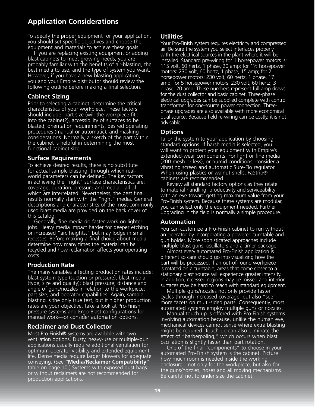### **Application Considerations**

To specify the proper equipment for your application, you should set specific objectives and choose the equipment and materials to achieve these goals.

 If you are replacing existing equipment or adding blast cabinets to meet growing needs, you are probably familiar with the benefits of air-blasting, the best media to use, and the type of system you want. However, if you have a new blasting application, you and your Empire distributor should review the following outline before making a final selection.

#### **Cabinet Sizing**

Prior to selecting a cabinet, determine the critical characteristics of your workpiece. These factors should include: part size (will the workpiece fit into the cabinet?), accessibility of surfaces to be blasted, orientation requirements, desired operating procedures (manual or automatic), and masking considerations. Normally, a sketch of the part within the cabinet is helpful in determining the most functional cabinet size.

#### **Surface Requirements**

To achieve desired results, there is no substitute for actual sample blasting, through which realworld parameters can be defined. The key factors in achieving the "right" surface characteristics are: coverage, duration, pressure and media—all of which are interrelated. Nevertheless, the best final results normally start with the "right" media. General descriptions and characteristics of the most commonly used blast media are provided on the back cover of this catalog.

 Generally, fine media do faster work on lighter jobs. Heavy media impact harder for deeper etching or increased "arc heights," but may lodge in small recesses. Before making a final choice about media, determine how many times the material can be recycled and how reclamation affects your operating costs.

#### **Production Rate**

The many variables affecting production rates include: blast system type (suction or pressure); blast media (type, size and quality); blast pressure; distance and angle of guns/nozzles in relation to the workpiece; part size; and operator capabilities. Again, sample blasting is the only true test, but if higher production rates are your objective, take a look at Pro-Finish pressure systems and Ergo-Blast configurations for manual work—or consider automation options.

#### **Reclaimer and Dust Collector**

Most Pro-Finish® systems are available with two ventilation options. Dusty, heavy-use or multiple-gun applications usually require additional ventilation for optimum operator visibility and extended equipment life. Dense media require larger blowers for adequate conveying. (See **"Media/Reclaimer Compatibility"** table on page 10.) Systems with exposed dust bags or without reclaimers are not recommended for production applications.

### **Utilities**

Your Pro-Finish system requires electricity and compressed air. Be sure the system you select interfaces properly with the electrical sources in the plant where it will be installed. Standard pre-wiring for 1 horsepower motors is: 115 volt, 60 hertz, 1 phase, 20 amp; for 1½ horsepower motors: 230 volt, 60 hertz, 1 phase, 15 amp; for 2 horsepower motors: 230 volt, 60 hertz, 1 phase, 17 amp; for 5 horsepower motors: 230 volt, 60 hertz, 3 phase, 20 amp. These numbers represent full-amp draws for the dust collector and basic cabinet. Three-phase electrical upgrades can be supplied complete with control transformer for one-source power connection. Threephase upgrades are also available with more economical dual source. Because field re-wiring can be costly, it is not advisable.

#### **Options**

Tailor the system to your application by choosing standard options. If harsh media is selected, you will want to protect your equipment with Empire's extended-wear components. For light or fine media (200 mesh or less), or humid conditions, consider a vibrating screen and automatic Sure-Flo regulator. When using plastics or walnut-shells, FaStrip® cabinets are recommended.

 Review all standard factory options as they relate to material handling, productivity and serviceability with an eye toward getting maximum value from your Pro-Finish system. Because these systems are modular, you can select only the equipment needed. Further upgrading in the field is normally a simple procedure.

#### **Automation**

You can customize a Pro-Finish cabinet to run without an operator by incorporating a powered turntable and gun holder. More sophisticated approaches include multiple blast guns, oscillators and a timer package.

 Almost every automated Pro-Finish application is different so care should go into visualizing how the part will be processed. If an out-of-round workpiece is rotated on a turntable, areas that come closer to a stationary blast source will experience greater intensity. In addition, recessed regions may be missed and interior surfaces may be hard to reach with standard equipment.

 Multiple guns/nozzles not only provide faster cycles through increased coverage, but also "see" more facets on multi-sided parts. Consequently, most automated systems employ multiple guns or nozzles.

 Manual touch-up is offered with Pro-Finish systems involving automation because, unlike the human eye, mechanical devices cannot sense where extra blasting might be required. Touch-up can also eliminate the effect of "barberpoling," which occurs when blast oscillation is slightly faster than part rotation.

 One of the final "components" to choose in your automated Pro-Finish system is the cabinet. Picture how much room is needed inside the working enclosure—not only for the workpiece, but also for the guns/nozzles, hoses and all moving mechanisms. Be careful not to under size the cabinet.